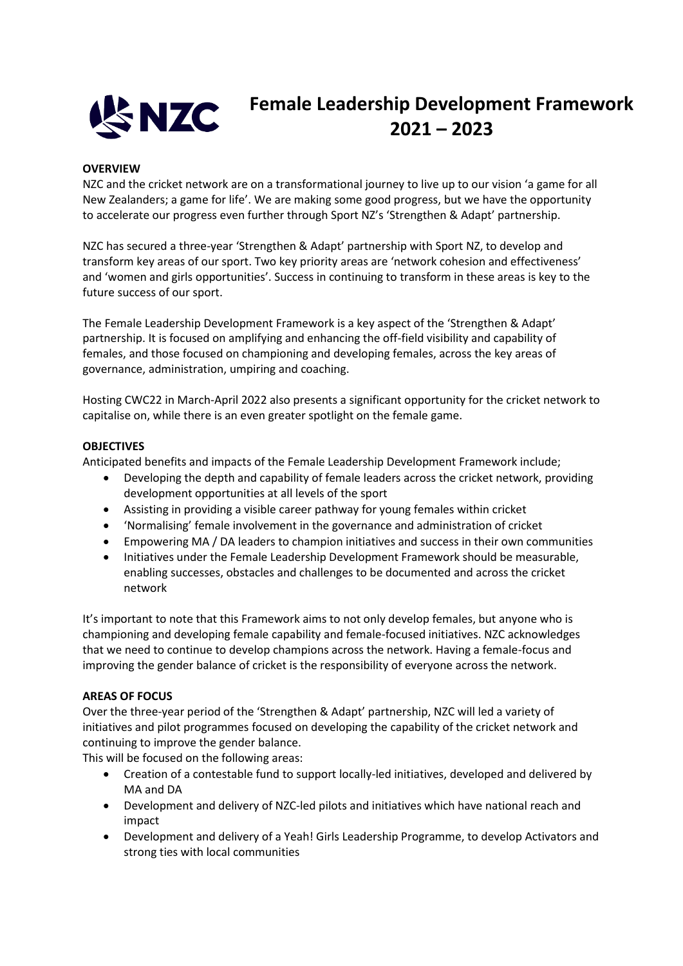

## **Female Leadership Development Framework 2021 – 2023**

## **OVERVIEW**

NZC and the cricket network are on a transformational journey to live up to our vision 'a game for all New Zealanders; a game for life'. We are making some good progress, but we have the opportunity to accelerate our progress even further through Sport NZ's 'Strengthen & Adapt' partnership.

NZC has secured a three-year 'Strengthen & Adapt' partnership with Sport NZ, to develop and transform key areas of our sport. Two key priority areas are 'network cohesion and effectiveness' and 'women and girls opportunities'. Success in continuing to transform in these areas is key to the future success of our sport.

The Female Leadership Development Framework is a key aspect of the 'Strengthen & Adapt' partnership. It is focused on amplifying and enhancing the off-field visibility and capability of females, and those focused on championing and developing females, across the key areas of governance, administration, umpiring and coaching.

Hosting CWC22 in March-April 2022 also presents a significant opportunity for the cricket network to capitalise on, while there is an even greater spotlight on the female game.

## **OBJECTIVES**

Anticipated benefits and impacts of the Female Leadership Development Framework include;

- Developing the depth and capability of female leaders across the cricket network, providing development opportunities at all levels of the sport
- Assisting in providing a visible career pathway for young females within cricket
- 'Normalising' female involvement in the governance and administration of cricket
- Empowering MA / DA leaders to champion initiatives and success in their own communities
- Initiatives under the Female Leadership Development Framework should be measurable, enabling successes, obstacles and challenges to be documented and across the cricket network

It's important to note that this Framework aims to not only develop females, but anyone who is championing and developing female capability and female-focused initiatives. NZC acknowledges that we need to continue to develop champions across the network. Having a female-focus and improving the gender balance of cricket is the responsibility of everyone across the network.

## **AREAS OF FOCUS**

Over the three-year period of the 'Strengthen & Adapt' partnership, NZC will led a variety of initiatives and pilot programmes focused on developing the capability of the cricket network and continuing to improve the gender balance.

This will be focused on the following areas:

- Creation of a contestable fund to support locally-led initiatives, developed and delivered by MA and DA
- Development and delivery of NZC-led pilots and initiatives which have national reach and impact
- Development and delivery of a Yeah! Girls Leadership Programme, to develop Activators and strong ties with local communities